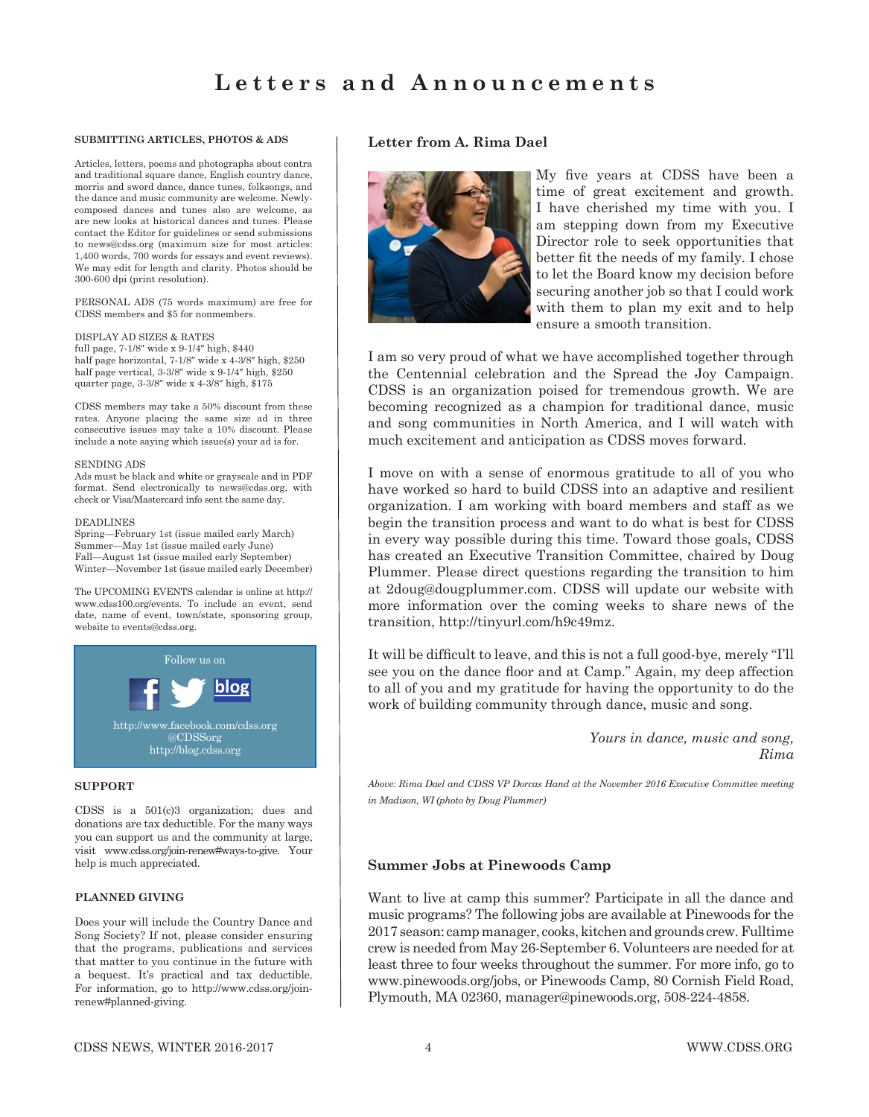#### **SUBMITTING ARTICLES, PHOTOS & ADS**

Articles, letters, poems and photographs about contra and traditional square dance, English country dance, morris and sword dance, dance tunes, folksongs, and the dance and music community are welcome. Newlycomposed dances and tunes also are welcome, as are new looks at historical dances and tunes. Please contact the Editor for guidelines or send submissions to news@cdss.org (maximum size for most articles: 1,400 words, 700 words for essays and event reviews). We may edit for length and clarity. Photos should be 300-600 dpi (print resolution).

PERSONAL ADS (75 words maximum) are free for CDSS members and \$5 for nonmembers.

#### DISPLAY AD SIZES & RATES

full page, 7-1/8″ wide x 9-1/4″ high, \$440 half page horizontal, 7-1/8″ wide x 4-3/8″ high, \$250 half page vertical, 3-3/8″ wide x 9-1/4″ high, \$250 quarter page, 3-3/8″ wide x 4-3/8″ high, \$175

CDSS members may take a 50% discount from these rates. Anyone placing the same size ad in three consecutive issues may take a 10% discount. Please include a note saying which issue(s) your ad is for.

#### SENDING ADS

Ads must be black and white or grayscale and in PDF format. Send electronically to news@cdss.org, with check or Visa/Mastercard info sent the same day.

#### DEADLINES

Spring—February 1st (issue mailed early March) Summer—May 1st (issue mailed early June) Fall—August 1st (issue mailed early September) Winter—November 1st (issue mailed early December)

The UPCOMING EVENTS calendar is online at http:// www.cdss100.org/events. To include an event, send date, name of event, town/state, sponsoring group, website to events@cdss.org.



#### **SUPPORT**

CDSS is a 501(c)3 organization; dues and donations are tax deductible. For the many ways you can support us and the community at large, visit www.cdss.org/join-renew#ways-to-give. Your help is much appreciated.

#### **PLANNED GIVING**

Does your will include the Country Dance and Song Society? If not, please consider ensuring that the programs, publications and services that matter to you continue in the future with a bequest. It's practical and tax deductible. For information, go to http://www.cdss.org/joinrenew#planned-giving.

### **Letter from A. Rima Dael**



My five years at CDSS have been a time of great excitement and growth. I have cherished my time with you. I am stepping down from my Executive Director role to seek opportunities that better fit the needs of my family. I chose to let the Board know my decision before securing another job so that I could work with them to plan my exit and to help ensure a smooth transition.

I am so very proud of what we have accomplished together through the Centennial celebration and the Spread the Joy Campaign. CDSS is an organization poised for tremendous growth. We are becoming recognized as a champion for traditional dance, music and song communities in North America, and I will watch with much excitement and anticipation as CDSS moves forward.

I move on with a sense of enormous gratitude to all of you who have worked so hard to build CDSS into an adaptive and resilient organization. I am working with board members and staff as we begin the transition process and want to do what is best for CDSS in every way possible during this time. Toward those goals, CDSS has created an Executive Transition Committee, chaired by Doug Plummer. Please direct questions regarding the transition to him at 2doug@dougplummer.com. CDSS will update our website with more information over the coming weeks to share news of the transition, http://tinyurl.com/h9c49mz.

It will be difficult to leave, and this is not a full good-bye, merely "I'll see you on the dance floor and at Camp." Again, my deep affection to all of you and my gratitude for having the opportunity to do the work of building community through dance, music and song.

> *Yours in dance, music and song, Rima*

*Above: Rima Dael and CDSS VP Dorcas Hand at the November 2016 Executive Committee meeting in Madison, WI (photo by Doug Plummer)*

## **Summer Jobs at Pinewoods Camp**

Want to live at camp this summer? Participate in all the dance and music programs? The following jobs are available at Pinewoods for the 2017 season: camp manager, cooks, kitchen and grounds crew. Fulltime crew is needed from May 26-September 6. Volunteers are needed for at least three to four weeks throughout the summer. For more info, go to www.pinewoods.org/jobs, or Pinewoods Camp, 80 Cornish Field Road, Plymouth, MA 02360, manager@pinewoods.org, 508-224-4858.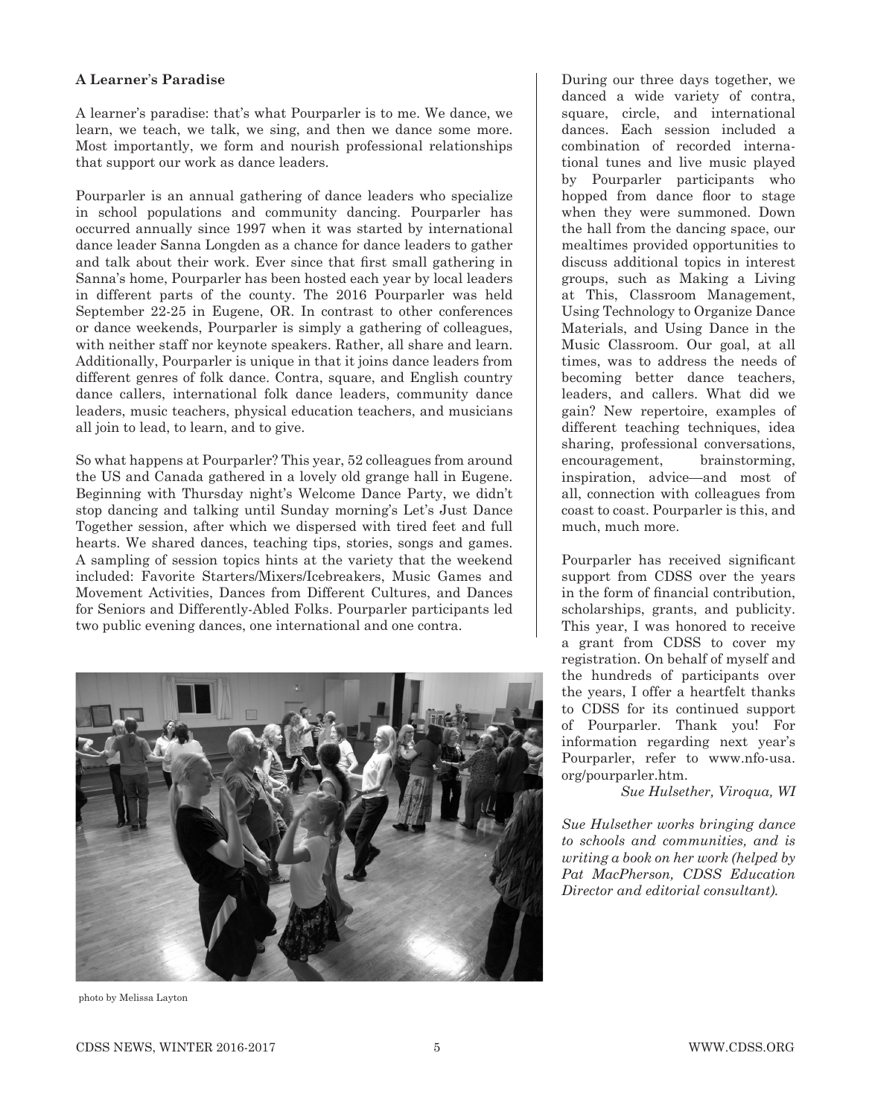## **A Learner**'**s Paradise**

A learner's paradise: that's what Pourparler is to me. We dance, we learn, we teach, we talk, we sing, and then we dance some more. Most importantly, we form and nourish professional relationships that support our work as dance leaders.

Pourparler is an annual gathering of dance leaders who specialize in school populations and community dancing. Pourparler has occurred annually since 1997 when it was started by international dance leader Sanna Longden as a chance for dance leaders to gather and talk about their work. Ever since that first small gathering in Sanna's home, Pourparler has been hosted each year by local leaders in different parts of the county. The 2016 Pourparler was held September 22-25 in Eugene, OR. In contrast to other conferences or dance weekends, Pourparler is simply a gathering of colleagues, with neither staff nor keynote speakers. Rather, all share and learn. Additionally, Pourparler is unique in that it joins dance leaders from different genres of folk dance. Contra, square, and English country dance callers, international folk dance leaders, community dance leaders, music teachers, physical education teachers, and musicians all join to lead, to learn, and to give.

So what happens at Pourparler? This year, 52 colleagues from around the US and Canada gathered in a lovely old grange hall in Eugene. Beginning with Thursday night's Welcome Dance Party, we didn't stop dancing and talking until Sunday morning's Let's Just Dance Together session, after which we dispersed with tired feet and full hearts. We shared dances, teaching tips, stories, songs and games. A sampling of session topics hints at the variety that the weekend included: Favorite Starters/Mixers/Icebreakers, Music Games and Movement Activities, Dances from Different Cultures, and Dances for Seniors and Differently-Abled Folks. Pourparler participants led two public evening dances, one international and one contra.



photo by Melissa Layton

During our three days together, we danced a wide variety of contra, square, circle, and international dances. Each session included a combination of recorded international tunes and live music played by Pourparler participants who hopped from dance floor to stage when they were summoned. Down the hall from the dancing space, our mealtimes provided opportunities to discuss additional topics in interest groups, such as Making a Living at This, Classroom Management, Using Technology to Organize Dance Materials, and Using Dance in the Music Classroom. Our goal, at all times, was to address the needs of becoming better dance teachers, leaders, and callers. What did we gain? New repertoire, examples of different teaching techniques, idea sharing, professional conversations, encouragement, brainstorming, inspiration, advice—and most of all, connection with colleagues from coast to coast. Pourparler is this, and much, much more.

Pourparler has received significant support from CDSS over the years in the form of financial contribution, scholarships, grants, and publicity. This year, I was honored to receive a grant from CDSS to cover my registration. On behalf of myself and the hundreds of participants over the years, I offer a heartfelt thanks to CDSS for its continued support of Pourparler. Thank you! For information regarding next year's Pourparler, refer to www.nfo-usa. org/pourparler.htm.

*Sue Hulsether, Viroqua, WI*

*Sue Hulsether works bringing dance to schools and communities, and is writing a book on her work (helped by Pat MacPherson, CDSS Education Director and editorial consultant).*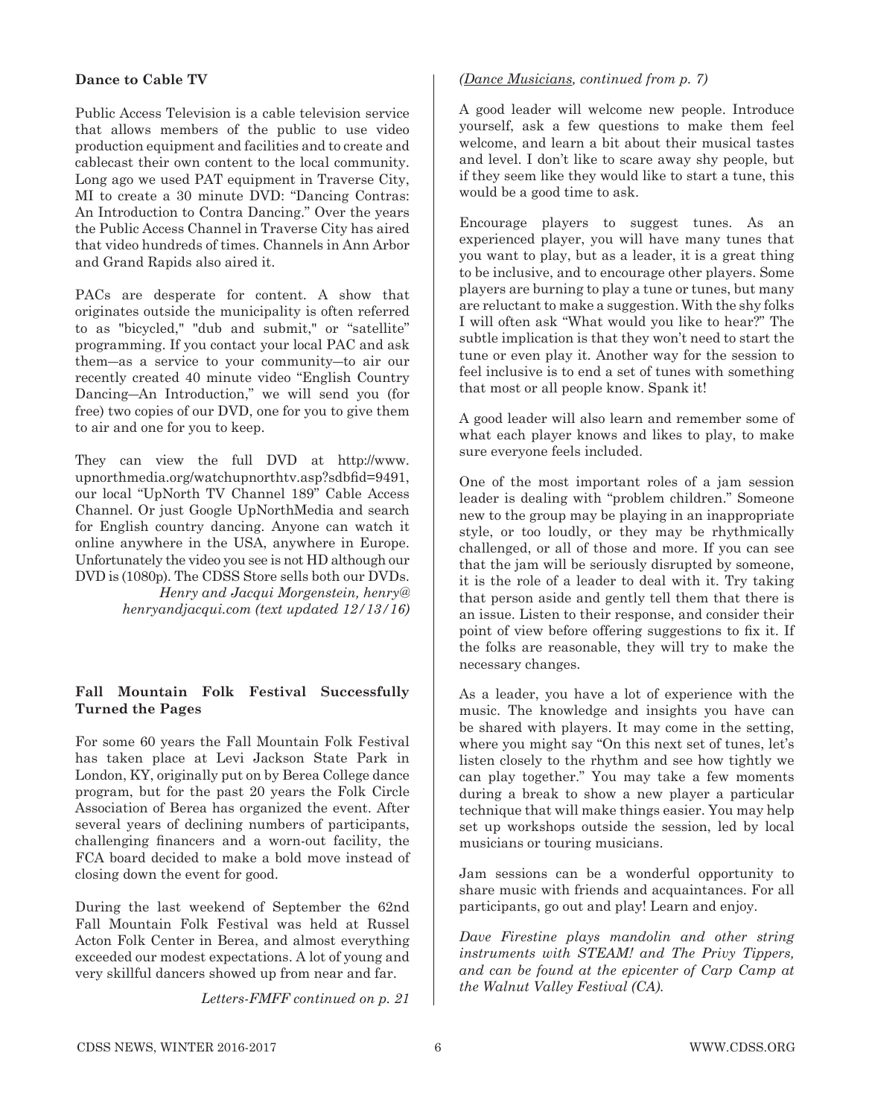# **Dance to Cable TV**

Public Access Television is a cable television service that allows members of the public to use video production equipment and facilities and to create and cablecast their own content to the local community. Long ago we used PAT equipment in Traverse City, MI to create a 30 minute DVD: "Dancing Contras: An Introduction to Contra Dancing." Over the years the Public Access Channel in Traverse City has aired that video hundreds of times. Channels in Ann Arbor and Grand Rapids also aired it.

PACs are desperate for content. A show that originates outside the municipality is often referred to as "bicycled," "dub and submit," or "satellite" programming. If you contact your local PAC and ask them―as a service to your community―to air our recently created 40 minute video "English Country Dancing―An Introduction," we will send you (for free) two copies of our DVD, one for you to give them to air and one for you to keep.

They can view the full DVD at http://www. upnorthmedia.org/watchupnorthtv.asp?sdbfid=9491, our local "UpNorth TV Channel 189" Cable Access Channel. Or just Google UpNorthMedia and search for English country dancing. Anyone can watch it online anywhere in the USA, anywhere in Europe. Unfortunately the video you see is not HD although our DVD is (1080p). The CDSS Store sells both our DVDs.

*Henry and Jacqui Morgenstein, henry@ henryandjacqui.com (text updated 12/13/16)*

# **Fall Mountain Folk Festival Successfully Turned the Pages**

For some 60 years the Fall Mountain Folk Festival has taken place at Levi Jackson State Park in London, KY, originally put on by Berea College dance program, but for the past 20 years the Folk Circle Association of Berea has organized the event. After several years of declining numbers of participants, challenging financers and a worn-out facility, the FCA board decided to make a bold move instead of closing down the event for good.

During the last weekend of September the 62nd Fall Mountain Folk Festival was held at Russel Acton Folk Center in Berea, and almost everything exceeded our modest expectations. A lot of young and very skillful dancers showed up from near and far.

*Letters-FMFF continued on p. 21*

# *(Dance Musicians, continued from p. 7)*

A good leader will welcome new people. Introduce yourself, ask a few questions to make them feel welcome, and learn a bit about their musical tastes and level. I don't like to scare away shy people, but if they seem like they would like to start a tune, this would be a good time to ask.

Encourage players to suggest tunes. As an experienced player, you will have many tunes that you want to play, but as a leader, it is a great thing to be inclusive, and to encourage other players. Some players are burning to play a tune or tunes, but many are reluctant to make a suggestion. With the shy folks I will often ask "What would you like to hear?" The subtle implication is that they won't need to start the tune or even play it. Another way for the session to feel inclusive is to end a set of tunes with something that most or all people know. Spank it!

A good leader will also learn and remember some of what each player knows and likes to play, to make sure everyone feels included.

One of the most important roles of a jam session leader is dealing with "problem children." Someone new to the group may be playing in an inappropriate style, or too loudly, or they may be rhythmically challenged, or all of those and more. If you can see that the jam will be seriously disrupted by someone, it is the role of a leader to deal with it. Try taking that person aside and gently tell them that there is an issue. Listen to their response, and consider their point of view before offering suggestions to fix it. If the folks are reasonable, they will try to make the necessary changes.

As a leader, you have a lot of experience with the music. The knowledge and insights you have can be shared with players. It may come in the setting, where you might say "On this next set of tunes, let's listen closely to the rhythm and see how tightly we can play together." You may take a few moments during a break to show a new player a particular technique that will make things easier. You may help set up workshops outside the session, led by local musicians or touring musicians.

Jam sessions can be a wonderful opportunity to share music with friends and acquaintances. For all participants, go out and play! Learn and enjoy.

*Dave Firestine plays mandolin and other string instruments with STEAM! and The Privy Tippers, and can be found at the epicenter of Carp Camp at the Walnut Valley Festival (CA).*